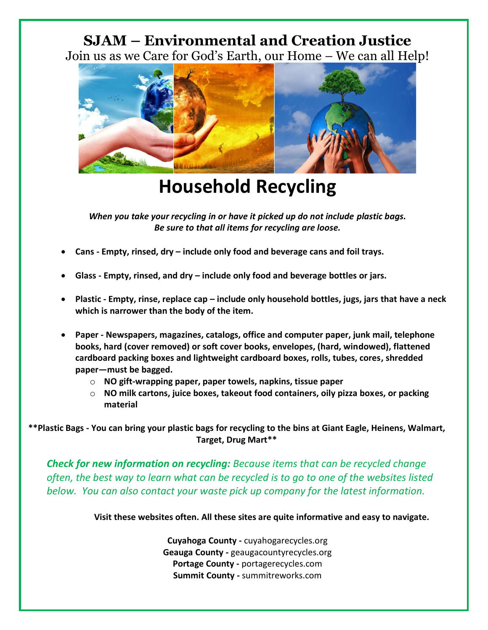# **SJAM – Environmental and Creation Justice**



Join us as we Care for God's Earth, our Home – We can all Help!

**Household Recycling**

*When you take your recycling in or have it picked up do not include plastic bags. Be sure to that all items for recycling are loose.* 

- **Cans - Empty, rinsed, dry – include only food and beverage cans and foil trays.**
- **Glass - Empty, rinsed, and dry – include only food and beverage bottles or jars.**
- **Plastic - Empty, rinse, replace cap – include only household bottles, jugs, jars that have a neck which is narrower than the body of the item.**
- **Paper - Newspapers, magazines, catalogs, office and computer paper, junk mail, telephone books, hard (cover removed) or soft cover books, envelopes, (hard, windowed), flattened cardboard packing boxes and lightweight cardboard boxes, rolls, tubes, cores, shredded paper—must be bagged.**
	- o **NO gift-wrapping paper, paper towels, napkins, tissue paper**
	- o **NO milk cartons, juice boxes, takeout food containers, oily pizza boxes, or packing material**

**\*\*Plastic Bags - You can bring your plastic bags for recycling to the bins at Giant Eagle, Heinens, Walmart, Target, Drug Mart\*\***

*Check for new information on recycling: Because items that can be recycled change often, the best way to learn what can be recycled is to go to one of the websites listed below. You can also contact your waste pick up company for the latest information.*

**Visit these websites often. All these sites are quite informative and easy to navigate.**

**Cuyahoga County -** cuyahogarecycles.org **Geauga County -** geaugacountyrecycles.org **Portage County -** portagerecycles.com **Summit County -** summitreworks.com